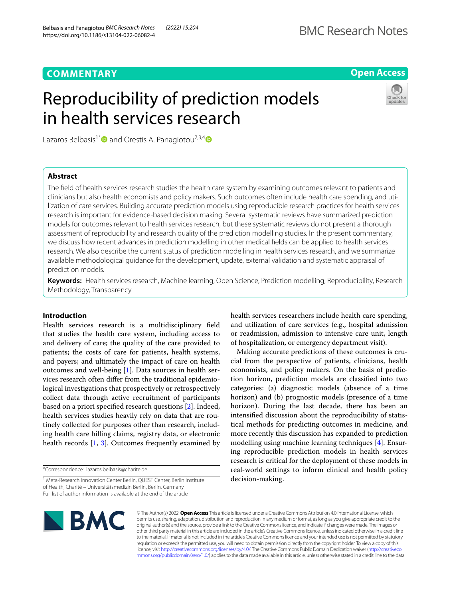# **COMMENTARY**

# **Open Access**

# Reproducibility of prediction models in health services research



Lazaros Belbasis<sup>1\*</sup> and Orestis A. Panagiotou<sup>2,3,4</sup>

# **Abstract**

The feld of health services research studies the health care system by examining outcomes relevant to patients and clinicians but also health economists and policy makers. Such outcomes often include health care spending, and utilization of care services. Building accurate prediction models using reproducible research practices for health services research is important for evidence-based decision making. Several systematic reviews have summarized prediction models for outcomes relevant to health services research, but these systematic reviews do not present a thorough assessment of reproducibility and research quality of the prediction modelling studies. In the present commentary, we discuss how recent advances in prediction modelling in other medical felds can be applied to health services research. We also describe the current status of prediction modelling in health services research, and we summarize available methodological guidance for the development, update, external validation and systematic appraisal of prediction models.

**Keywords:** Health services research, Machine learning, Open Science, Prediction modelling, Reproducibility, Research Methodology, Transparency

# **Introduction**

Health services research is a multidisciplinary feld that studies the health care system, including access to and delivery of care; the quality of the care provided to patients; the costs of care for patients, health systems, and payers; and ultimately the impact of care on health outcomes and well-being [\[1](#page-3-0)]. Data sources in health services research often difer from the traditional epidemiological investigations that prospectively or retrospectively collect data through active recruitment of participants based on a priori specifed research questions [\[2](#page-3-1)]. Indeed, health services studies heavily rely on data that are routinely collected for purposes other than research, including health care billing claims, registry data, or electronic health records [[1,](#page-3-0) [3](#page-3-2)]. Outcomes frequently examined by

\*Correspondence: lazaros.belbasis@charite.de

health services researchers include health care spending, and utilization of care services (e.g., hospital admission or readmission, admission to intensive care unit, length of hospitalization, or emergency department visit).

Making accurate predictions of these outcomes is crucial from the perspective of patients, clinicians, health economists, and policy makers. On the basis of prediction horizon, prediction models are classifed into two categories: (a) diagnostic models (absence of a time horizon) and (b) prognostic models (presence of a time horizon). During the last decade, there has been an intensifed discussion about the reproducibility of statistical methods for predicting outcomes in medicine, and more recently this discussion has expanded to prediction modelling using machine learning techniques [\[4](#page-3-3)]. Ensuring reproducible prediction models in health services research is critical for the deployment of these models in real-world settings to inform clinical and health policy decision-making.



© The Author(s) 2022. **Open Access** This article is licensed under a Creative Commons Attribution 4.0 International License, which permits use, sharing, adaptation, distribution and reproduction in any medium or format, as long as you give appropriate credit to the original author(s) and the source, provide a link to the Creative Commons licence, and indicate if changes were made. The images or other third party material in this article are included in the article's Creative Commons licence, unless indicated otherwise in a credit line to the material. If material is not included in the article's Creative Commons licence and your intended use is not permitted by statutory regulation or exceeds the permitted use, you will need to obtain permission directly from the copyright holder. To view a copy of this licence, visit [http://creativecommons.org/licenses/by/4.0/.](http://creativecommons.org/licenses/by/4.0/) The Creative Commons Public Domain Dedication waiver ([http://creativeco](http://creativecommons.org/publicdomain/zero/1.0/) [mmons.org/publicdomain/zero/1.0/](http://creativecommons.org/publicdomain/zero/1.0/)) applies to the data made available in this article, unless otherwise stated in a credit line to the data.

<sup>&</sup>lt;sup>1</sup> Meta-Research Innovation Center Berlin, QUEST Center, Berlin Institute of Health, Charité – Universitätsmedizin Berlin, Berlin, Germany Full list of author information is available at the end of the article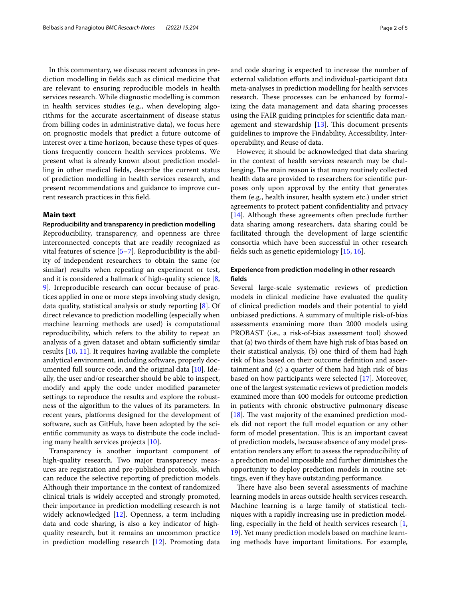In this commentary, we discuss recent advances in prediction modelling in felds such as clinical medicine that are relevant to ensuring reproducible models in health services research. While diagnostic modelling is common in health services studies (e.g., when developing algorithms for the accurate ascertainment of disease status from billing codes in administrative data), we focus here on prognostic models that predict a future outcome of interest over a time horizon, because these types of questions frequently concern health services problems. We present what is already known about prediction modelling in other medical felds, describe the current status of prediction modelling in health services research, and present recommendations and guidance to improve current research practices in this feld.

# **Main text**

### **Reproducibility and transparency in prediction modelling**

Reproducibility, transparency, and openness are three interconnected concepts that are readily recognized as vital features of science [[5–](#page-3-4)[7\]](#page-3-5). Reproducibility is the ability of independent researchers to obtain the same (or similar) results when repeating an experiment or test, and it is considered a hallmark of high-quality science [\[8](#page-3-6), [9\]](#page-3-7). Irreproducible research can occur because of practices applied in one or more steps involving study design, data quality, statistical analysis or study reporting [[8\]](#page-3-6). Of direct relevance to prediction modelling (especially when machine learning methods are used) is computational reproducibility, which refers to the ability to repeat an analysis of a given dataset and obtain sufficiently similar results [[10,](#page-3-8) [11\]](#page-3-9). It requires having available the complete analytical environment, including software, properly documented full source code, and the original data [\[10\]](#page-3-8). Ideally, the user and/or researcher should be able to inspect, modify and apply the code under modifed parameter settings to reproduce the results and explore the robustness of the algorithm to the values of its parameters. In recent years, platforms designed for the development of software, such as GitHub, have been adopted by the scientifc community as ways to distribute the code including many health services projects [[10](#page-3-8)].

Transparency is another important component of high-quality research. Two major transparency measures are registration and pre-published protocols, which can reduce the selective reporting of prediction models. Although their importance in the context of randomized clinical trials is widely accepted and strongly promoted, their importance in prediction modelling research is not widely acknowledged [[12\]](#page-3-10). Openness, a term including data and code sharing, is also a key indicator of highquality research, but it remains an uncommon practice in prediction modelling research [[12\]](#page-3-10). Promoting data and code sharing is expected to increase the number of external validation eforts and individual-participant data meta-analyses in prediction modelling for health services research. These processes can be enhanced by formalizing the data management and data sharing processes using the FAIR guiding principles for scientifc data management and stewardship  $[13]$  $[13]$  $[13]$ . This document presents guidelines to improve the Findability, Accessibility, Interoperability, and Reuse of data.

However, it should be acknowledged that data sharing in the context of health services research may be challenging. The main reason is that many routinely collected health data are provided to researchers for scientifc purposes only upon approval by the entity that generates them (e.g., health insurer, health system etc.) under strict agreements to protect patient confdentiality and privacy [[14\]](#page-4-0). Although these agreements often preclude further data sharing among researchers, data sharing could be facilitated through the development of large scientifc consortia which have been successful in other research felds such as genetic epidemiology [[15,](#page-4-1) [16](#page-4-2)].

# **Experience from prediction modeling in other research felds**

Several large-scale systematic reviews of prediction models in clinical medicine have evaluated the quality of clinical prediction models and their potential to yield unbiased predictions. A summary of multiple risk-of-bias assessments examining more than 2000 models using PROBAST (i.e., a risk-of-bias assessment tool) showed that (a) two thirds of them have high risk of bias based on their statistical analysis, (b) one third of them had high risk of bias based on their outcome defnition and ascertainment and (c) a quarter of them had high risk of bias based on how participants were selected [\[17](#page-4-3)]. Moreover, one of the largest systematic reviews of prediction models examined more than 400 models for outcome prediction in patients with chronic obstructive pulmonary disease  $[18]$  $[18]$ . The vast majority of the examined prediction models did not report the full model equation or any other form of model presentation. This is an important caveat of prediction models, because absence of any model presentation renders any efort to assess the reproducibility of a prediction model impossible and further diminishes the opportunity to deploy prediction models in routine settings, even if they have outstanding performance.

There have also been several assessments of machine learning models in areas outside health services research. Machine learning is a large family of statistical techniques with a rapidly increasing use in prediction modelling, especially in the feld of health services research [\[1](#page-3-0), [19\]](#page-4-5). Yet many prediction models based on machine learning methods have important limitations. For example,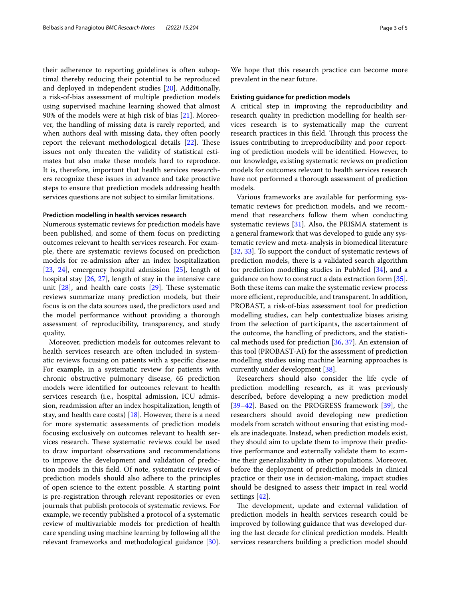their adherence to reporting guidelines is often suboptimal thereby reducing their potential to be reproduced and deployed in independent studies [\[20](#page-4-6)]. Additionally, a risk-of-bias assessment of multiple prediction models using supervised machine learning showed that almost 90% of the models were at high risk of bias [\[21\]](#page-4-7). Moreover, the handling of missing data is rarely reported, and when authors deal with missing data, they often poorly report the relevant methodological details [[22](#page-4-8)]. These issues not only threaten the validity of statistical estimates but also make these models hard to reproduce. It is, therefore, important that health services researchers recognize these issues in advance and take proactive steps to ensure that prediction models addressing health services questions are not subject to similar limitations.

#### **Prediction modelling in health services research**

Numerous systematic reviews for prediction models have been published, and some of them focus on predicting outcomes relevant to health services research. For example, there are systematic reviews focused on prediction models for re-admission after an index hospitalization [[23,](#page-4-9) [24](#page-4-10)], emergency hospital admission [\[25\]](#page-4-11), length of hospital stay [\[26](#page-4-12), [27](#page-4-13)], length of stay in the intensive care unit  $[28]$  $[28]$ , and health care costs  $[29]$  $[29]$ . These systematic reviews summarize many prediction models, but their focus is on the data sources used, the predictors used and the model performance without providing a thorough assessment of reproducibility, transparency, and study quality.

Moreover, prediction models for outcomes relevant to health services research are often included in systematic reviews focusing on patients with a specifc disease. For example, in a systematic review for patients with chronic obstructive pulmonary disease, 65 prediction models were identifed for outcomes relevant to health services research (i.e., hospital admission, ICU admission, readmission after an index hospitalization, length of stay, and health care costs)  $[18]$  $[18]$ . However, there is a need for more systematic assessments of prediction models focusing exclusively on outcomes relevant to health services research. These systematic reviews could be used to draw important observations and recommendations to improve the development and validation of prediction models in this feld. Of note, systematic reviews of prediction models should also adhere to the principles of open science to the extent possible. A starting point is pre-registration through relevant repositories or even journals that publish protocols of systematic reviews. For example, we recently published a protocol of a systematic review of multivariable models for prediction of health care spending using machine learning by following all the relevant frameworks and methodological guidance [\[30](#page-4-16)].

We hope that this research practice can become more prevalent in the near future.

#### **Existing guidance for prediction models**

A critical step in improving the reproducibility and research quality in prediction modelling for health services research is to systematically map the current research practices in this field. Through this process the issues contributing to irreproducibility and poor reporting of prediction models will be identifed. However, to our knowledge, existing systematic reviews on prediction models for outcomes relevant to health services research have not performed a thorough assessment of prediction models.

Various frameworks are available for performing systematic reviews for prediction models, and we recommend that researchers follow them when conducting systematic reviews [[31\]](#page-4-17). Also, the PRISMA statement is a general framework that was developed to guide any systematic review and meta-analysis in biomedical literature [[32,](#page-4-18) [33\]](#page-4-19). To support the conduct of systematic reviews of prediction models, there is a validated search algorithm for prediction modelling studies in PubMed [\[34](#page-4-20)], and a guidance on how to construct a data extraction form [\[35](#page-4-21)]. Both these items can make the systematic review process more efficient, reproducible, and transparent. In addition, PROBAST, a risk-of-bias assessment tool for prediction modelling studies, can help contextualize biases arising from the selection of participants, the ascertainment of the outcome, the handling of predictors, and the statistical methods used for prediction [\[36](#page-4-22), [37\]](#page-4-23). An extension of this tool (PROBAST-AI) for the assessment of prediction modelling studies using machine learning approaches is currently under development [[38](#page-4-24)].

Researchers should also consider the life cycle of prediction modelling research, as it was previously described, before developing a new prediction model [[39–](#page-4-25)[42\]](#page-4-26). Based on the PROGRESS framework [\[39](#page-4-25)], the researchers should avoid developing new prediction models from scratch without ensuring that existing models are inadequate. Instead, when prediction models exist, they should aim to update them to improve their predictive performance and externally validate them to examine their generalizability in other populations. Moreover, before the deployment of prediction models in clinical practice or their use in decision-making, impact studies should be designed to assess their impact in real world settings [[42\]](#page-4-26).

The development, update and external validation of prediction models in health services research could be improved by following guidance that was developed during the last decade for clinical prediction models. Health services researchers building a prediction model should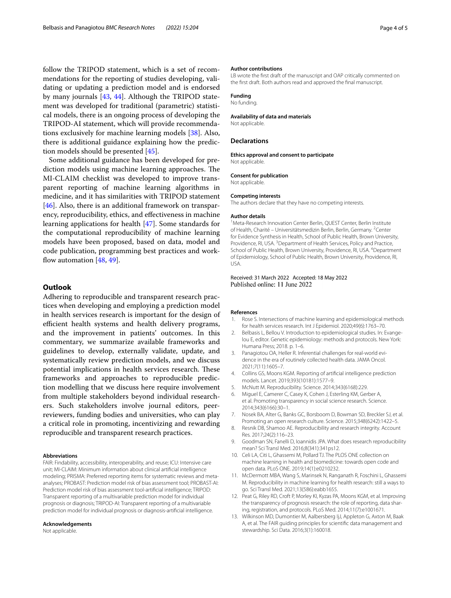follow the TRIPOD statement, which is a set of recommendations for the reporting of studies developing, validating or updating a prediction model and is endorsed by many journals [\[43](#page-4-27), [44\]](#page-4-28). Although the TRIPOD statement was developed for traditional (parametric) statistical models, there is an ongoing process of developing the TRIPOD-AI statement, which will provide recommendations exclusively for machine learning models [[38](#page-4-24)]. Also, there is additional guidance explaining how the prediction models should be presented [[45\]](#page-4-29).

Some additional guidance has been developed for prediction models using machine learning approaches. The MI-CLAIM checklist was developed to improve transparent reporting of machine learning algorithms in medicine, and it has similarities with TRIPOD statement [[46\]](#page-4-30). Also, there is an additional framework on transparency, reproducibility, ethics, and efectiveness in machine learning applications for health [\[47\]](#page-4-31). Some standards for the computational reproducibility of machine learning models have been proposed, based on data, model and code publication, programming best practices and workflow automation  $[48, 49]$  $[48, 49]$  $[48, 49]$ .

# **Outlook**

Adhering to reproducible and transparent research practices when developing and employing a prediction model in health services research is important for the design of efficient health systems and health delivery programs, and the improvement in patients' outcomes. In this commentary, we summarize available frameworks and guidelines to develop, externally validate, update, and systematically review prediction models, and we discuss potential implications in health services research. These frameworks and approaches to reproducible prediction modelling that we discuss here require involvement from multiple stakeholders beyond individual researchers. Such stakeholders involve journal editors, peerreviewers, funding bodies and universities, who can play a critical role in promoting, incentivizing and rewarding reproducible and transparent research practices.

#### **Abbreviations**

FAIR: Findability, accessibility, interoperability, and reuse; ICU: Intensive care unit; MI-CLAIM: Minimum information about clinical artifcial intelligence modeling; PRISMA: Preferred reporting items for systematic reviews and metaanalyses; PROBAST: Prediction model risk of bias assessment tool; PROBAST-AI: Prediction model risk of bias assessment tool-artifcial intelligence; TRIPOD: Transparent reporting of a multivariable prediction model for individual prognosis or diagnosis; TRIPOD-AI: Transparent reporting of a multivariable prediction model for individual prognosis or diagnosis-artifcial intelligence.

#### **Acknowledgements**

Not applicable.

#### **Author contributions**

LB wrote the frst draft of the manuscript and OAP critically commented on the frst draft. Both authors read and approved the fnal manuscript.

#### **Funding**

No funding.

#### **Availability of data and materials**

Not applicable.

#### **Declarations**

**Ethics approval and consent to participate** Not applicable.

**Consent for publication** Not applicable.

# **Competing interests**

The authors declare that they have no competing interests.

#### **Author details**

<sup>1</sup> Meta-Research Innovation Center Berlin, QUEST Center, Berlin Institute of Health, Charité - Universitätsmedizin Berlin, Berlin, Germany. <sup>2</sup>Center for Evidence Synthesis in Health, School of Public Health, Brown University, Providence, RI, USA. <sup>3</sup> Department of Health Services, Policy and Practice, School of Public Health, Brown University, Providence, RI, USA. <sup>4</sup> Department of Epidemiology, School of Public Health, Brown University, Providence, RI, USA.

## Received: 31 March 2022 Accepted: 18 May 2022 Published online: 11 June 2022

#### **References**

- <span id="page-3-0"></span>1. Rose S. Intersections of machine learning and epidemiological methods for health services research. Int J Epidemiol. 2020;49(6):1763–70.
- <span id="page-3-1"></span>2. Belbasis L, Bellou V. Introduction to epidemiological studies. In: Evangelou E, editor. Genetic epidemiology: methods and protocols. New York: Humana Press; 2018. p. 1–6.
- <span id="page-3-2"></span>3. Panagiotou OA, Heller R. Inferential challenges for real-world evidence in the era of routinely collected health data. JAMA Oncol. 2021;7(11):1605–7.
- <span id="page-3-3"></span>4. Collins GS, Moons KGM. Reporting of artifcial intelligence prediction models. Lancet. 2019;393(10181):1577–9.
- <span id="page-3-4"></span>5. McNutt M. Reproducibility. Science. 2014;343(6168):229.
- 6. Miguel E, Camerer C, Casey K, Cohen J, Esterling KM, Gerber A, et al. Promoting transparency in social science research. Science. 2014;343(6166):30–1.
- <span id="page-3-5"></span>7. Nosek BA, Alter G, Banks GC, Borsboom D, Bowman SD, Breckler SJ, et al. Promoting an open research culture. Science. 2015;348(6242):1422–5.
- <span id="page-3-6"></span>8. Resnik DB, Shamoo AE. Reproducibility and research integrity. Account Res. 2017;24(2):116–23.
- <span id="page-3-7"></span>9. Goodman SN, Fanelli D, Ioannidis JPA. What does research reproducibility mean? Sci Transl Med. 2016;8(341):341ps12.
- <span id="page-3-8"></span>10. Celi LA, Citi L, Ghassemi M, Pollard TJ. The PLOS ONE collection on machine learning in health and biomedicine: towards open code and open data. PLoS ONE. 2019;14(1):e0210232.
- <span id="page-3-9"></span>11. McDermott MBA, Wang S, Marinsek N, Ranganath R, Foschini L, Ghassemi M. Reproducibility in machine learning for health research: still a ways to go. Sci Transl Med. 2021;13(586):eabb1655.
- <span id="page-3-10"></span>12. Peat G, Riley RD, Croft P, Morley KI, Kyzas PA, Moons KGM, et al. Improving the transparency of prognosis research: the role of reporting, data sharing, registration, and protocols. PLoS Med. 2014;11(7):e1001671.
- <span id="page-3-11"></span>13. Wilkinson MD, Dumontier M, Aalbersberg IjJ, Appleton G, Axton M, Baak A, et al. The FAIR guiding principles for scientifc data management and stewardship. Sci Data. 2016;3(1):160018.